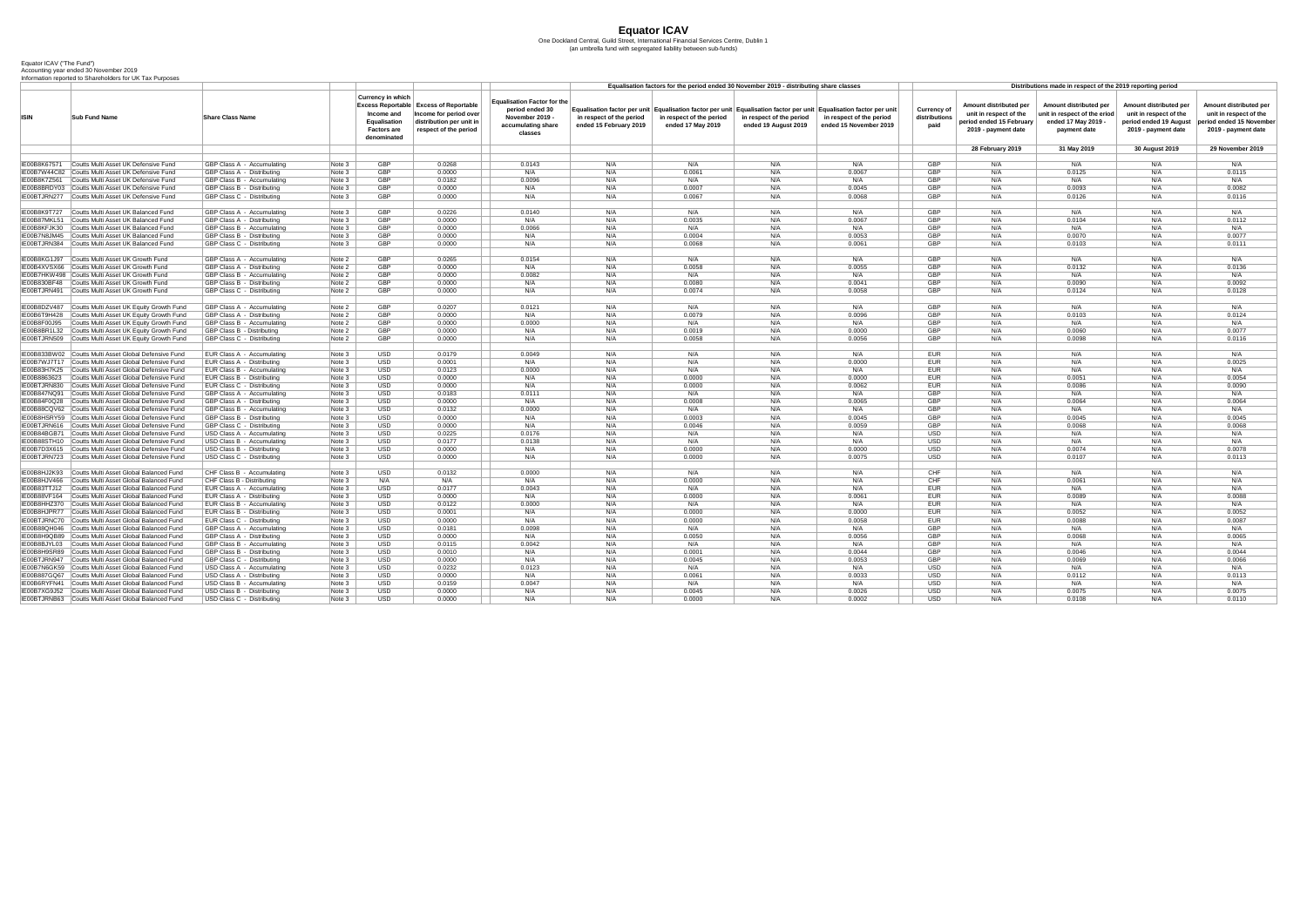## **Equator ICAV**

One Dockland Central, Guild Street, International Financial Services Centre, Dublin 1 (an umbrella fund with segregated liability between sub-funds)

## Equator ICAV ("The Fund") Accounting year ended 30 November 2019 Information reported to Shareholders for UK Tax Purposes

|                              |                                                                                      |                                                          |                  |                                                                                                    |                                                                                                                              |                                                                                                           | Equalisation factors for the period ended 30 November 2019 - distributing share classes |                                               |                                                  |                                                                                                                                                                           |                                      | Distributions made in respect of the 2019 reporting period                                          |                                                                                                      |                                                                                                          |                                                                                                    |  |  |
|------------------------------|--------------------------------------------------------------------------------------|----------------------------------------------------------|------------------|----------------------------------------------------------------------------------------------------|------------------------------------------------------------------------------------------------------------------------------|-----------------------------------------------------------------------------------------------------------|-----------------------------------------------------------------------------------------|-----------------------------------------------|--------------------------------------------------|---------------------------------------------------------------------------------------------------------------------------------------------------------------------------|--------------------------------------|-----------------------------------------------------------------------------------------------------|------------------------------------------------------------------------------------------------------|----------------------------------------------------------------------------------------------------------|----------------------------------------------------------------------------------------------------|--|--|
| <b>ISIN</b>                  | <b>Sub Fund Name</b>                                                                 | <b>Share Class Name</b>                                  |                  | <b>Currency in which</b><br>Income and<br><b>Equalisation</b><br><b>Factors are</b><br>denominated | <b>Excess Reportable Excess of Reportable</b><br>Income for period over<br>distribution per unit in<br>respect of the period | <b>Equalisation Factor for the</b><br>period ended 30<br>November 2019 -<br>accumulating share<br>classes | in respect of the period<br>ended 15 February 2019                                      | in respect of the period<br>ended 17 May 2019 | in respect of the period<br>ended 19 August 2019 | Equalisation factor per unit Equalisation factor per unit Equalisation factor per unit Equalisation factor per unit<br>in respect of the period<br>ended 15 November 2019 | Currency of<br>distributions<br>paid | Amount distributed per<br>unit in respect of the<br>period ended 15 February<br>2019 - payment date | <b>Amount distributed per</b><br>unit in respect of the eriod<br>ended 17 May 2019 -<br>payment date | <b>Amount distributed per</b><br>unit in respect of the<br>period ended 19 August<br>2019 - payment date | Amount distributed per<br>unit in respect of the<br>eriod ended 15 November<br>2019 - payment date |  |  |
|                              |                                                                                      |                                                          |                  |                                                                                                    |                                                                                                                              |                                                                                                           |                                                                                         |                                               |                                                  |                                                                                                                                                                           |                                      | 28 February 2019                                                                                    | 31 May 2019                                                                                          | <b>30 August 2019</b>                                                                                    | 29 November 2019                                                                                   |  |  |
| IE00B8K67571                 | Coutts Multi Asset UK Defensive Fund                                                 | GBP Class A - Accumulating                               | Note 3           | <b>GBP</b>                                                                                         | 0.0268                                                                                                                       | 0.0143                                                                                                    | N/A                                                                                     | N/A                                           | N/A                                              | N/A                                                                                                                                                                       | <b>GBP</b>                           | N/A                                                                                                 | N/A                                                                                                  | N/A                                                                                                      | N/A                                                                                                |  |  |
|                              | IE00B7W44C82 Coutts Multi Asset UK Defensive Fund                                    | GBP Class A - Distributing                               | Note 3           | <b>GBP</b>                                                                                         | 0.0000                                                                                                                       | N/A                                                                                                       | N/A                                                                                     | 0.0061                                        | N/A                                              | 0.0067                                                                                                                                                                    | <b>GBP</b>                           | N/A                                                                                                 | 0.0125                                                                                               | N/A                                                                                                      | 0.0115                                                                                             |  |  |
| IE00B8K7Z561                 | Coutts Multi Asset UK Defensive Fund                                                 | GBP Class B - Accumulating                               | Note 3           | <b>GBP</b>                                                                                         | 0.0182                                                                                                                       | 0.0096                                                                                                    | N/A                                                                                     | N/A                                           | N/A                                              | N/A                                                                                                                                                                       | <b>GBP</b>                           | N/A                                                                                                 | N/A                                                                                                  | N/f                                                                                                      | N/A                                                                                                |  |  |
| IE00B8BRDY03                 | Coutts Multi Asset UK Defensive Fund                                                 | GBP Class B - Distributing                               | Note 3           | <b>GBP</b>                                                                                         | 0.0000                                                                                                                       | N/A                                                                                                       | N/A                                                                                     | 0.0007                                        | N/A                                              | 0.0045                                                                                                                                                                    | <b>GBP</b>                           | N/A                                                                                                 | 0.0093                                                                                               | N/f                                                                                                      | 0.0082                                                                                             |  |  |
|                              | IE00BTJRN277 Coutts Multi Asset UK Defensive Fund                                    | GBP Class C - Distributing                               | Note 3           | <b>GBP</b>                                                                                         | 0.0000                                                                                                                       | N/A                                                                                                       | N/A                                                                                     | 0.0067                                        | N/A                                              | 0.0068                                                                                                                                                                    | <b>GBP</b>                           | N/A                                                                                                 | 0.0126                                                                                               | N/A                                                                                                      | 0.0116                                                                                             |  |  |
|                              |                                                                                      |                                                          |                  |                                                                                                    |                                                                                                                              |                                                                                                           |                                                                                         |                                               |                                                  |                                                                                                                                                                           |                                      |                                                                                                     |                                                                                                      |                                                                                                          |                                                                                                    |  |  |
| IE00B8K9T727                 | <b>Coutts Multi Asset UK Balanced Fund</b>                                           | <b>GBP Class A - Accumulating</b>                        | Note 3           | <b>GBP</b>                                                                                         | 0.0226                                                                                                                       | 0.0140                                                                                                    | N/A                                                                                     | N/A                                           | N/A                                              | N/A                                                                                                                                                                       | <b>GBP</b>                           | N/A                                                                                                 | N/A                                                                                                  | N/f                                                                                                      | N/A                                                                                                |  |  |
| IE00B87MKL51                 | Coutts Multi Asset UK Balanced Fund<br>Coutts Multi Asset UK Balanced Fund           | GBP Class A - Distributing                               | Note 3           | <b>GBP</b><br><b>GBP</b>                                                                           | 0.0000                                                                                                                       | N/A                                                                                                       | N/A                                                                                     | 0.0035                                        | N/A                                              | 0.0067                                                                                                                                                                    | <b>GBP</b><br><b>GBP</b>             | N/A                                                                                                 | 0.0104                                                                                               | N/f                                                                                                      | 0.0112                                                                                             |  |  |
| IE00B8KFJK30<br>IE00B7N8JM45 | Coutts Multi Asset UK Balanced Fund                                                  | GBP Class B - Accumulating<br>GBP Class B - Distributing | Note 3<br>Note 3 | <b>GBP</b>                                                                                         | 0.0000<br>0.0000                                                                                                             | 0.0066<br>N/A                                                                                             | N/A<br>N/A                                                                              | N/A<br>0.0004                                 | N/A                                              | N/A<br>0.0053                                                                                                                                                             | <b>GBP</b>                           | N/A<br>N/A                                                                                          | N/A<br>0.0070                                                                                        | N/f<br>N/A                                                                                               | N/A<br>0.0077                                                                                      |  |  |
|                              | IE00BTJRN384 Coutts Multi Asset UK Balanced Fund                                     | GBP Class C - Distributing                               | Note 3           | <b>GBP</b>                                                                                         | 0.0000                                                                                                                       | N/A                                                                                                       | N/A                                                                                     | 0.0068                                        | N/A                                              | 0.0061                                                                                                                                                                    | <b>GBP</b>                           | N/A                                                                                                 | 0.0103                                                                                               | N/A                                                                                                      | 0.0111                                                                                             |  |  |
|                              |                                                                                      |                                                          |                  |                                                                                                    |                                                                                                                              |                                                                                                           |                                                                                         |                                               |                                                  |                                                                                                                                                                           |                                      |                                                                                                     |                                                                                                      |                                                                                                          |                                                                                                    |  |  |
|                              | IE00B8KG1J97 Coutts Multi Asset UK Growth Fund                                       | GBP Class A - Accumulating                               | Note 2           | <b>GBP</b>                                                                                         | 0.0265                                                                                                                       | 0.0154                                                                                                    | N/A                                                                                     | N/A                                           | N/A                                              | N/A                                                                                                                                                                       | <b>GBP</b>                           | N/A                                                                                                 | N/A                                                                                                  | N/A                                                                                                      | N/A                                                                                                |  |  |
|                              | IE00B4XVSX66 Coutts Multi Asset UK Growth Fund                                       | GBP Class A - Distributing                               | Note 2           | <b>GBP</b>                                                                                         | 0.0000                                                                                                                       | N/A                                                                                                       | N/A                                                                                     | 0.0058                                        | N/A                                              | 0.0055                                                                                                                                                                    | <b>GBP</b>                           | N/A                                                                                                 | 0.0132                                                                                               | N/f                                                                                                      | 0.0136                                                                                             |  |  |
|                              | IE00B7HKW498 Coutts Multi Asset UK Growth Fund                                       | GBP Class B - Accumulating                               | Note 2           | <b>GBP</b>                                                                                         | 0.0000                                                                                                                       | 0.0082                                                                                                    | N/A                                                                                     | N/A                                           | N/A                                              | N/A                                                                                                                                                                       | <b>GBP</b>                           | N/A                                                                                                 | N/A                                                                                                  | N/f                                                                                                      | N/A                                                                                                |  |  |
| IE00B830BF48                 | Coutts Multi Asset UK Growth Fund                                                    | GBP Class B - Distributing                               | Note 2           | <b>GBP</b>                                                                                         | 0.0000                                                                                                                       | N/A                                                                                                       | N/A                                                                                     | 0.0080                                        | N/A                                              | 0.0041                                                                                                                                                                    | <b>GBP</b>                           | N/A                                                                                                 | 0.0090                                                                                               | N/f                                                                                                      | 0.0092                                                                                             |  |  |
| IE00BTJRN491                 | Coutts Multi Asset UK Growth Fund                                                    | GBP Class C - Distributing                               | Note 2           | <b>GBP</b>                                                                                         | 0.0000                                                                                                                       | N/A                                                                                                       | N/A                                                                                     | 0.0074                                        | N/A                                              | 0.0058                                                                                                                                                                    | <b>GBP</b>                           | N/A                                                                                                 | 0.0124                                                                                               | N/A                                                                                                      | 0.0128                                                                                             |  |  |
| IE00B8DZV487                 | Coutts Multi Asset UK Equity Growth Fund                                             | GBP Class A - Accumulating                               | Note 2           | <b>GBP</b>                                                                                         | 0.0207                                                                                                                       | 0.0121                                                                                                    | N/A                                                                                     | N/A                                           | N/A                                              | N/A                                                                                                                                                                       | <b>GBP</b>                           | N/A                                                                                                 | N/A                                                                                                  | N/A                                                                                                      | N/A                                                                                                |  |  |
| IE00B6T9H428                 | Coutts Multi Asset UK Equity Growth Fund                                             | GBP Class A - Distributing                               | Note 2           | <b>GBP</b>                                                                                         | 0.0000                                                                                                                       | N/A                                                                                                       | N/A                                                                                     | 0.0079                                        | N/A                                              | 0.0096                                                                                                                                                                    | <b>GBP</b>                           | N/A                                                                                                 | 0.0103                                                                                               | N/A                                                                                                      | 0.0124                                                                                             |  |  |
| IE00B8F00J95                 | Coutts Multi Asset UK Equity Growth Fund                                             | GBP Class B - Accumulating                               | Note 2           | <b>GBP</b>                                                                                         | 0.0000                                                                                                                       | 0.0000                                                                                                    | N/A                                                                                     | N/A                                           | N/A                                              | N/A                                                                                                                                                                       | <b>GBP</b>                           | N/A                                                                                                 | N/A                                                                                                  | N/A                                                                                                      | N/A                                                                                                |  |  |
| IE00B8BR1L32                 | Coutts Multi Asset UK Equity Growth Fund                                             | <b>GBP Class B - Distributing</b>                        | Note 2           | <b>GBP</b>                                                                                         | 0.0000                                                                                                                       | N/A                                                                                                       | N/A                                                                                     | 0.0019                                        |                                                  | 0.0000                                                                                                                                                                    | <b>GBP</b>                           | N/A                                                                                                 | 0.0060                                                                                               | N/A                                                                                                      | 0.0077                                                                                             |  |  |
|                              | IE00BTJRN509 Coutts Multi Asset UK Equity Growth Fund                                | GBP Class C - Distributing                               | Note 2           | <b>GBP</b>                                                                                         | 0.0000                                                                                                                       | N/A                                                                                                       | N/A                                                                                     | 0.0058                                        | N/A                                              | 0.0056                                                                                                                                                                    | <b>GBP</b>                           | N/A                                                                                                 | 0.0098                                                                                               | N/A                                                                                                      | 0.0116                                                                                             |  |  |
|                              |                                                                                      |                                                          |                  |                                                                                                    |                                                                                                                              |                                                                                                           |                                                                                         |                                               |                                                  |                                                                                                                                                                           |                                      |                                                                                                     |                                                                                                      |                                                                                                          |                                                                                                    |  |  |
|                              | IE00B833BW02 Coutts Multi Asset Global Defensive Fund                                | EUR Class A - Accumulating                               | Note 3           | <b>USD</b>                                                                                         | 0.0179                                                                                                                       | 0.0049                                                                                                    | N/A                                                                                     | N/A                                           | N/A                                              | N/A                                                                                                                                                                       | <b>EUR</b>                           | N/A                                                                                                 | N/A                                                                                                  | N/A                                                                                                      | N/A                                                                                                |  |  |
| IE00B7WJ7T17                 | Coutts Multi Asset Global Defensive Fund                                             | EUR Class A - Distributing                               | Note 3           | <b>USD</b>                                                                                         | 0.0001                                                                                                                       | N/A                                                                                                       | N/A                                                                                     | N/A                                           |                                                  | 0.0000                                                                                                                                                                    | <b>EUR</b>                           | N/A                                                                                                 | N/A                                                                                                  | N/f                                                                                                      | 0.0025                                                                                             |  |  |
| IE00B83H7K25                 | Coutts Multi Asset Global Defensive Fund                                             | EUR Class B - Accumulating                               | Note 3           | <b>USD</b>                                                                                         | 0.0123                                                                                                                       | 0.0000                                                                                                    | N/A                                                                                     | N/A                                           | N/A                                              | N/A                                                                                                                                                                       | <b>EUR</b>                           | N/A                                                                                                 | N/A                                                                                                  | N/A                                                                                                      | N/A                                                                                                |  |  |
| IE00B8863623                 | Coutts Multi Asset Global Defensive Fund                                             | EUR Class B - Distributing                               | Note 3           | <b>USD</b>                                                                                         | 0.0000                                                                                                                       | N/A                                                                                                       | N/A                                                                                     | 0.0000                                        | N/A                                              | 0.0000                                                                                                                                                                    | <b>EUR</b>                           | N/A                                                                                                 | 0.0051                                                                                               | N/f                                                                                                      | 0.0054                                                                                             |  |  |
| IE00BTJRN830                 | Coutts Multi Asset Global Defensive Fund<br>Coutts Multi Asset Global Defensive Fund | EUR Class C - Distributing                               | Note 3           | <b>USD</b><br><b>USD</b>                                                                           | 0.0000                                                                                                                       | N/A                                                                                                       | N/A                                                                                     | 0.0000                                        | N/A                                              | 0.0062                                                                                                                                                                    | <b>EUR</b><br><b>GBP</b>             | N/A                                                                                                 | 0.0086<br>N/A                                                                                        | N/f<br>N/f                                                                                               | 0.0090                                                                                             |  |  |
| IE00B847NQ91<br>IE00B84F0Q28 | Coutts Multi Asset Global Defensive Fund                                             | GBP Class A - Accumulating<br>GBP Class A - Distributing | Note 3<br>Note 3 | <b>USD</b>                                                                                         | 0.0183<br>0.0000                                                                                                             | 0.0111<br>N/A                                                                                             | N/A<br>N/A                                                                              | N/A<br>0.0008                                 | N/A<br>N/A                                       | N/A<br>0.0065                                                                                                                                                             | <b>GBP</b>                           | N/A<br>N/A                                                                                          | 0.0064                                                                                               | N/A                                                                                                      | N/A<br>0.0064                                                                                      |  |  |
| IE00B88CQV62                 | Coutts Multi Asset Global Defensive Fund                                             | GBP Class B - Accumulating                               | Note 3           | <b>USD</b>                                                                                         | 0.0132                                                                                                                       | 0.0000                                                                                                    | N/A                                                                                     | N/A                                           | N/A                                              | N/A                                                                                                                                                                       | <b>GBP</b>                           | N/A                                                                                                 | N/A                                                                                                  | N/A                                                                                                      | N/A                                                                                                |  |  |
|                              | IE00B8HSRY59 Coutts Multi Asset Global Defensive Fund                                | GBP Class B - Distributing                               | Note 3           | <b>USD</b>                                                                                         | 0.0000                                                                                                                       | N/A                                                                                                       | N/A                                                                                     | 0.0003                                        | N/A                                              | 0.0045                                                                                                                                                                    | <b>GBP</b>                           | N/A                                                                                                 | 0.0045                                                                                               | N/f                                                                                                      | 0.0045                                                                                             |  |  |
| IE00BTJRN616                 | Coutts Multi Asset Global Defensive Fund                                             | GBP Class C - Distributing                               | Note 3           | <b>USD</b>                                                                                         | 0.0000                                                                                                                       | N/A                                                                                                       | N/A                                                                                     | 0.0046                                        |                                                  | 0.0059                                                                                                                                                                    | <b>GBP</b>                           | N/A                                                                                                 | 0.0068                                                                                               | N/f                                                                                                      | 0.0068                                                                                             |  |  |
| IE00B84BGB71                 | Coutts Multi Asset Global Defensive Fund                                             | USD Class A - Accumulating                               | Note 3           | <b>USD</b>                                                                                         | 0.0225                                                                                                                       | 0.0176                                                                                                    | N/A                                                                                     | N/A                                           | N/A                                              | N/A                                                                                                                                                                       | <b>USD</b>                           | N/A                                                                                                 | N/A                                                                                                  | N/f                                                                                                      | N/A                                                                                                |  |  |
| IE00B88STH10                 | Coutts Multi Asset Global Defensive Fund                                             | USD Class B - Accumulating                               | Note 3           | <b>USD</b>                                                                                         | 0.0177                                                                                                                       | 0.0138                                                                                                    | N/A                                                                                     | N/A                                           | N/A                                              | N/A                                                                                                                                                                       | <b>USD</b>                           | N/A                                                                                                 | N/A                                                                                                  | N/f                                                                                                      | N/A                                                                                                |  |  |
| IE00B7D3X615                 | Coutts Multi Asset Global Defensive Fund                                             | USD Class B - Distributing                               | Note 3           | <b>USD</b>                                                                                         | 0.0000                                                                                                                       | N/A                                                                                                       | N/A                                                                                     | 0.0000                                        | N/A                                              | 0.0000                                                                                                                                                                    | <b>USD</b>                           | N/A                                                                                                 | 0.0074                                                                                               | N/A                                                                                                      | 0.0078                                                                                             |  |  |
|                              | IE00BTJRN723 Coutts Multi Asset Global Defensive Fund                                | USD Class C - Distributing                               | Note 3           | <b>USD</b>                                                                                         | 0.0000                                                                                                                       | N/A                                                                                                       | N/A                                                                                     | 0.0000                                        | N/A                                              | 0.0075                                                                                                                                                                    | <b>USD</b>                           | N/A                                                                                                 | 0.0107                                                                                               | N/A                                                                                                      | 0.0113                                                                                             |  |  |
| IE00B8HJ2K93                 | Coutts Multi Asset Global Balanced Fund                                              | CHF Class B - Accumulating                               | Note 3           | <b>USD</b>                                                                                         | 0.0132                                                                                                                       | 0.0000                                                                                                    | N/A                                                                                     | N/A                                           | N/A                                              | N/A                                                                                                                                                                       | <b>CHF</b>                           | N/A                                                                                                 | N/A                                                                                                  | N/A                                                                                                      | N/A                                                                                                |  |  |
| IE00B8HJV466                 | Coutts Multi Asset Global Balanced Fund                                              | CHF Class B - Distributing                               | Note 3           | N/A                                                                                                | N/A                                                                                                                          | N/A                                                                                                       | N/A                                                                                     | 0.0000                                        | N/A                                              | N/A                                                                                                                                                                       | <b>CHF</b>                           | N/A                                                                                                 | 0.0061                                                                                               | N/f                                                                                                      | N/A                                                                                                |  |  |
| IE00B83TTJ12                 | Coutts Multi Asset Global Balanced Fund                                              | <b>EUR Class A - Accumulating</b>                        | Note 3           | <b>USD</b>                                                                                         | 0.0177                                                                                                                       | 0.0043                                                                                                    | N/A                                                                                     | N/A                                           | N/A                                              | N/A                                                                                                                                                                       | <b>EUR</b>                           | N/A                                                                                                 | N/A                                                                                                  | N/A                                                                                                      | N/A                                                                                                |  |  |
| IE00B88VF164                 | Coutts Multi Asset Global Balanced Fund                                              | EUR Class A - Distributing                               | Note 3           | <b>USD</b>                                                                                         | 0.0000                                                                                                                       | N/A                                                                                                       | N/A                                                                                     | 0.0000                                        |                                                  | 0.0061                                                                                                                                                                    | EUR                                  | N/A                                                                                                 | 0.0089                                                                                               | N/f                                                                                                      | 0.0088                                                                                             |  |  |
| IE00B8HHZ370                 | Coutts Multi Asset Global Balanced Fund                                              | EUR Class B - Accumulating                               | Note 3           | <b>USD</b>                                                                                         | 0.0122                                                                                                                       | 0.0000                                                                                                    | N/A                                                                                     | N/A                                           | N/A                                              | N/A                                                                                                                                                                       | <b>EUR</b>                           | N/A                                                                                                 | N/A                                                                                                  | N/f                                                                                                      | N/A                                                                                                |  |  |
| IE00B8HJPR77                 | Coutts Multi Asset Global Balanced Fund                                              | EUR Class B - Distributing                               | Note 3           | <b>USD</b>                                                                                         | 0.0001                                                                                                                       | N/A                                                                                                       | N/A                                                                                     | 0.0000                                        | N/A                                              | 0.0000                                                                                                                                                                    | <b>EUR</b>                           | N/A                                                                                                 | 0.0052                                                                                               | N/f                                                                                                      | 0.0052                                                                                             |  |  |
| IE00BTJRNC70                 | Coutts Multi Asset Global Balanced Fund                                              | EUR Class C - Distributing                               | Note 3           | <b>USD</b>                                                                                         | 0.0000                                                                                                                       | N/A                                                                                                       | N/A                                                                                     | 0.0000                                        | N/A                                              | 0.0058                                                                                                                                                                    | <b>EUR</b>                           | N/A                                                                                                 | 0.0088                                                                                               | N/f                                                                                                      | 0.0087                                                                                             |  |  |
| IE00B88QH046                 | Coutts Multi Asset Global Balanced Fund                                              | GBP Class A - Accumulating                               | Note 3           | <b>USD</b>                                                                                         | 0.0181                                                                                                                       | 0.0098                                                                                                    | N/A                                                                                     | N/A                                           | N/A                                              | N/A                                                                                                                                                                       | <b>GBP</b>                           | N/A                                                                                                 | N/A                                                                                                  | N/f                                                                                                      | N/A                                                                                                |  |  |
| IE00B8H9QB89                 | Coutts Multi Asset Global Balanced Fund                                              | GBP Class A - Distributing                               | Note 3           | <b>USD</b>                                                                                         | 0.0000                                                                                                                       | N/A                                                                                                       | N/A                                                                                     | 0.0050                                        | N/A                                              | 0.0056                                                                                                                                                                    | <b>GBP</b>                           | N/A                                                                                                 | 0.0068                                                                                               | N/f                                                                                                      | 0.0065                                                                                             |  |  |
| IE00B8BJYL03                 | Coutts Multi Asset Global Balanced Fund                                              | GBP Class B - Accumulating                               | Note 3           | <b>USD</b>                                                                                         | 0.0115                                                                                                                       | 0.0042                                                                                                    | N/A                                                                                     | N/A                                           |                                                  | N/A                                                                                                                                                                       | <b>GBP</b>                           | N/A                                                                                                 | N/A                                                                                                  | N/f                                                                                                      | N/A                                                                                                |  |  |
| IE00B8H9SR89<br>IE00BTJRN947 | Coutts Multi Asset Global Balanced Fund<br>Coutts Multi Asset Global Balanced Fund   | GBP Class B - Distributing<br>GBP Class C - Distributing | Note 3           | <b>USD</b>                                                                                         | 0.0010                                                                                                                       | N/A                                                                                                       | N/A                                                                                     | 0.0001                                        | N/A                                              | 0.0044                                                                                                                                                                    | <b>GBP</b><br><b>GBP</b>             | N/A                                                                                                 | 0.0046                                                                                               | N/f<br>N/f                                                                                               | 0.0044                                                                                             |  |  |
|                              | IE00B7N6GK59 Coutts Multi Asset Global Balanced Fund                                 | USD Class A - Accumulating                               | Note 3<br>Note 3 | <b>USD</b><br>USD                                                                                  | 0.0000<br>0.0232                                                                                                             | N/A<br>0.0123                                                                                             | N/A<br>N/A                                                                              | 0.0045<br>N/A                                 | N/A                                              | 0.0053<br>N/A                                                                                                                                                             | <b>USD</b>                           | N/A<br>N/A                                                                                          | 0.0069<br>N/A                                                                                        | N/A                                                                                                      | 0.0066<br>N/A                                                                                      |  |  |
|                              | IE00B887GQ67 Coutts Multi Asset Global Balanced Fund                                 | USD Class A - Distributing                               | Note 3           | <b>USD</b>                                                                                         | 0.0000                                                                                                                       | N/A                                                                                                       | N/A                                                                                     | 0.0061                                        | N/A                                              | 0.0033                                                                                                                                                                    | <b>USD</b>                           | N/A                                                                                                 | 0.0112                                                                                               | N/A                                                                                                      | 0.0113                                                                                             |  |  |
|                              | IE00B6RYFN41 Coutts Multi Asset Global Balanced Fund                                 | USD Class B - Accumulating                               | Note 3           | <b>USD</b>                                                                                         | 0.0159                                                                                                                       | 0.0047                                                                                                    | N/A                                                                                     | N/A                                           | N/A                                              | N/A                                                                                                                                                                       | <b>USD</b>                           | N/A                                                                                                 | N/A                                                                                                  | N/A                                                                                                      | N/A                                                                                                |  |  |
|                              | IE00B7XG9J52 Coutts Multi Asset Global Balanced Fund                                 | USD Class B - Distributing                               | Note 3           | <b>USD</b>                                                                                         | 0.0000                                                                                                                       | N/A                                                                                                       | N/A                                                                                     | 0.0045                                        | N/A                                              | 0.0026                                                                                                                                                                    | <b>USD</b>                           | N/A                                                                                                 | 0.0075                                                                                               | N/A                                                                                                      | 0.0075                                                                                             |  |  |
|                              | IE00BTJRNB63 Coutts Multi Asset Global Balanced Fund                                 | USD Class C - Distributing                               | Note 3           | <b>USD</b>                                                                                         | 0.0000                                                                                                                       | N/A                                                                                                       | N/A                                                                                     | 0.0000                                        | N/A                                              | 0.0002                                                                                                                                                                    | <b>USD</b>                           | N/A                                                                                                 | 0.0108                                                                                               | N/A                                                                                                      | 0.0110                                                                                             |  |  |
|                              |                                                                                      |                                                          |                  |                                                                                                    |                                                                                                                              |                                                                                                           |                                                                                         |                                               |                                                  |                                                                                                                                                                           |                                      |                                                                                                     |                                                                                                      |                                                                                                          |                                                                                                    |  |  |